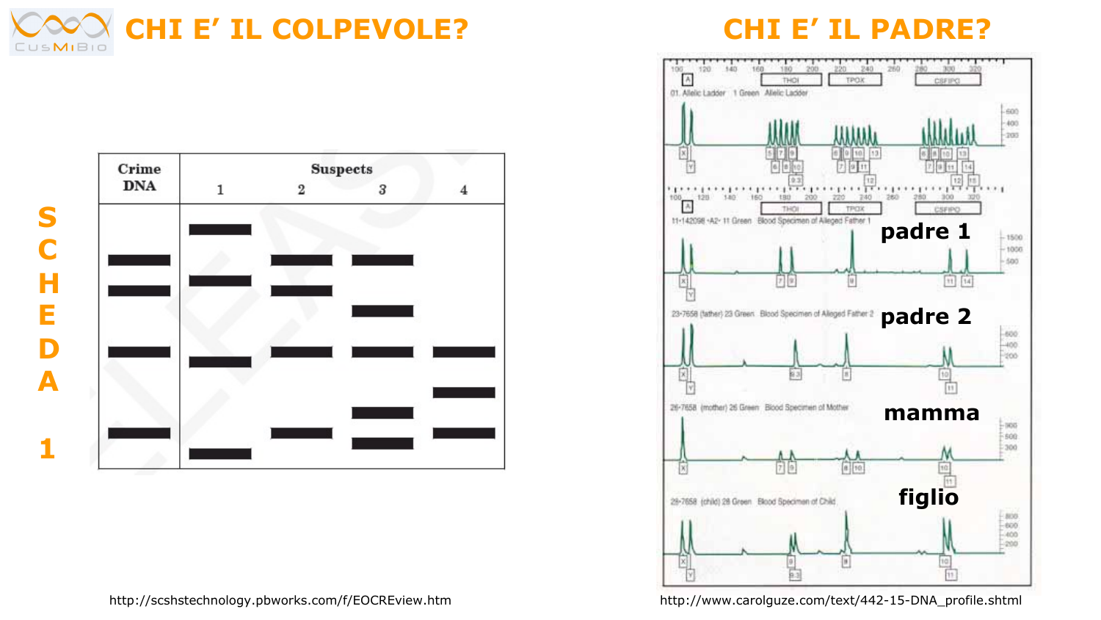





http://scshstechnology.pbworks.com/f/EOCREview.htm

http://www.carolguze.com/text/442-15-DNA\_profile.shtml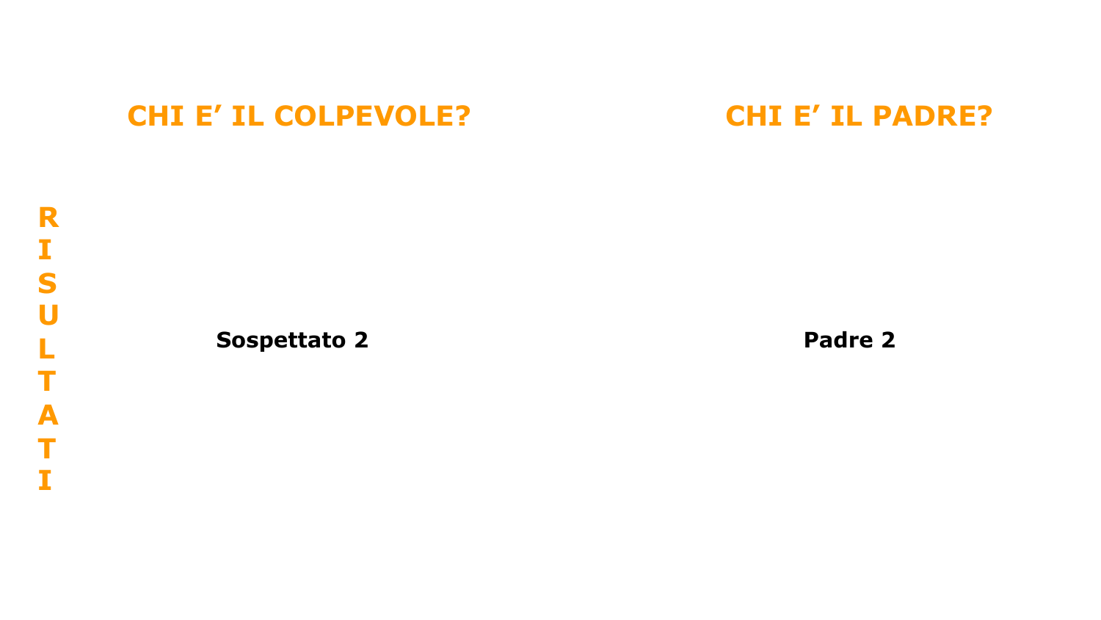### **Sospettato 2 Padre 2 Padre 2 Padre 2 Padre 2**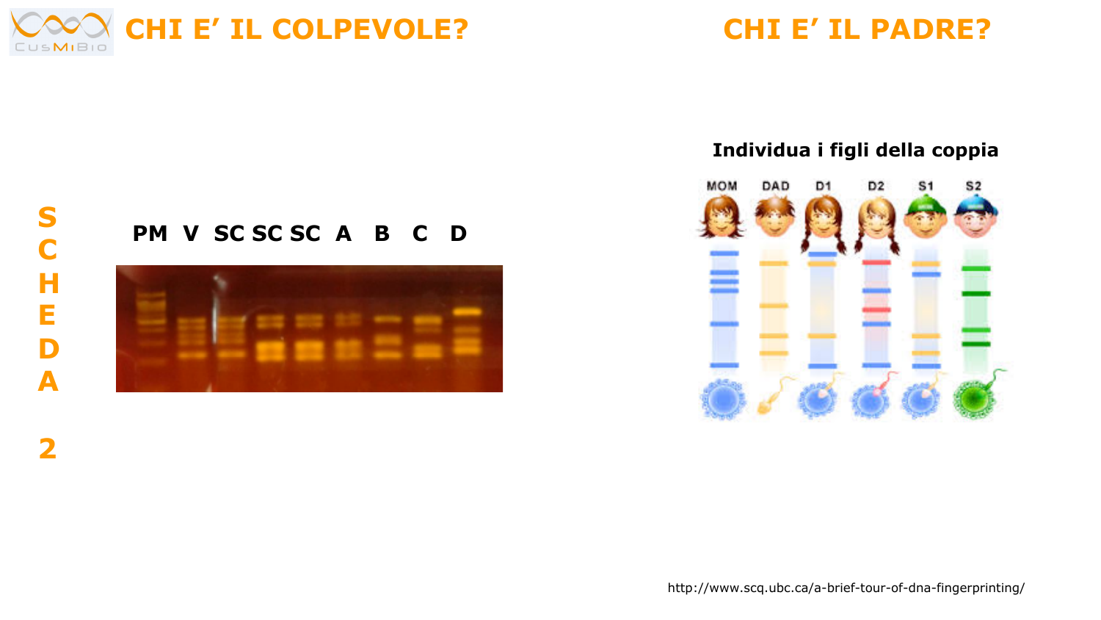

### **Individua i figli della coppia**



### **PM V SC SC SC A B C D**



http://www.scq.ubc.ca/a-brief-tour-of-dna-fingerprinting/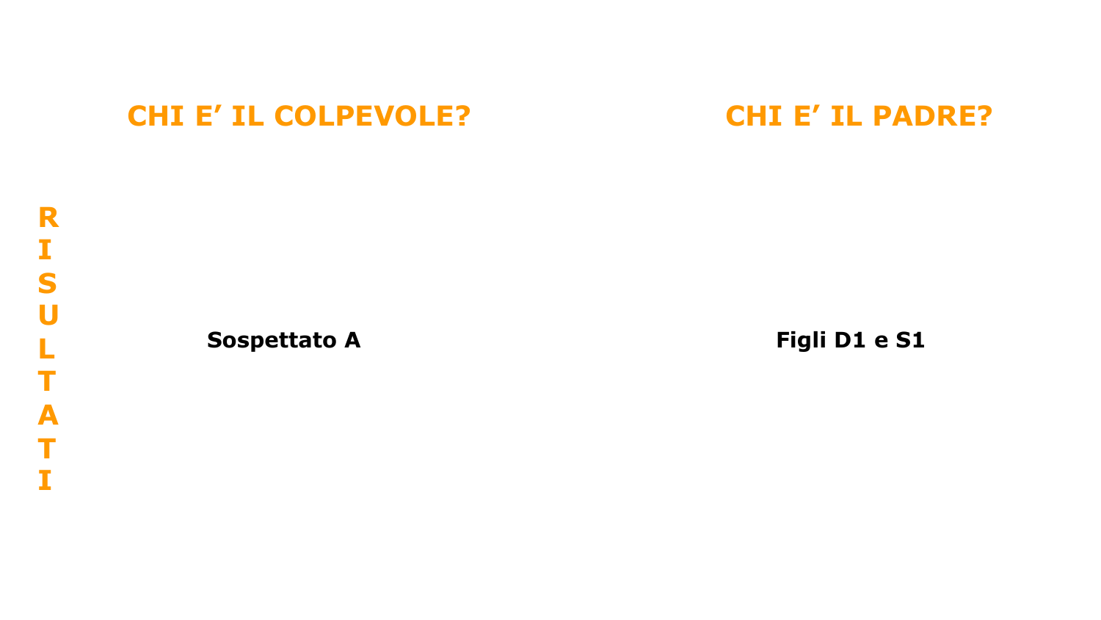**Sospettato A** Figli D1 e S1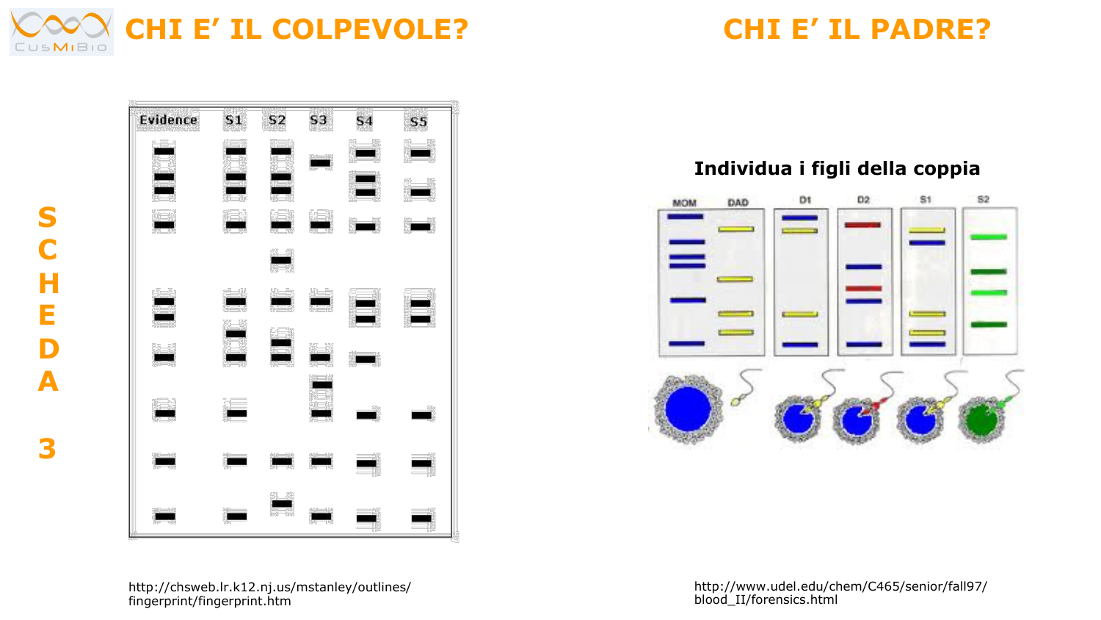

**S**

**C**

**H**

**E**

**D**

**A**

**3** 



### **Individua i figli della coppia**

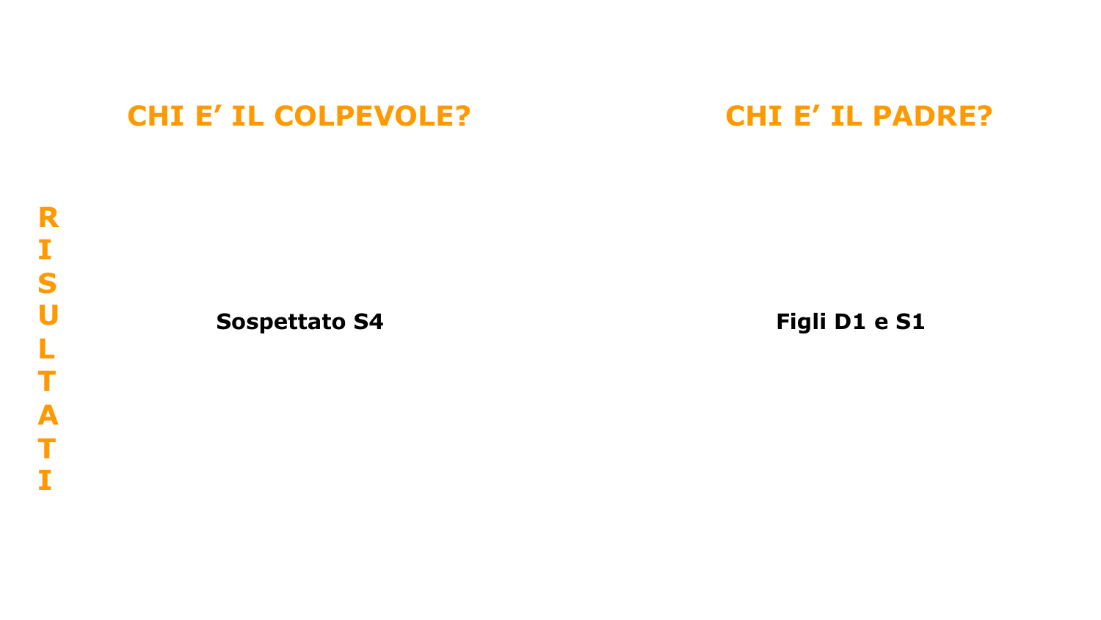### **Sospettato S4** Figli D1 e S1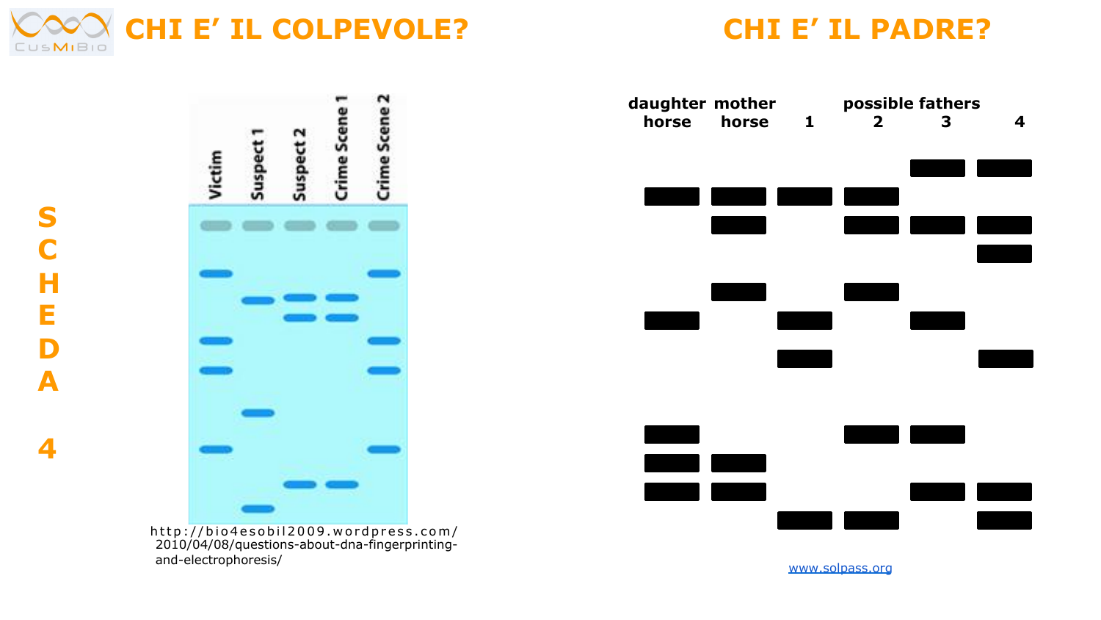

**S**

**C H**

**E**

**D**

**A**

**4** 



 http://bio4esobil2009.wordpress.com/ 2010/04/08/questions-about-dna-fingerprintingand-electrophoresis/



www.solpass.org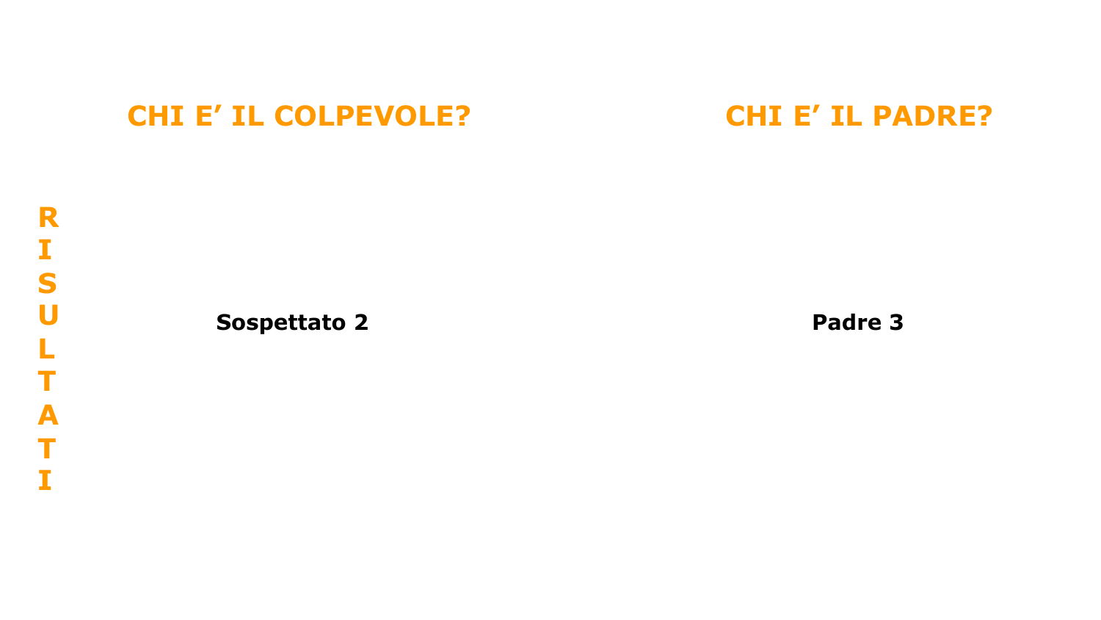### **Sospettato 2 Padre 3**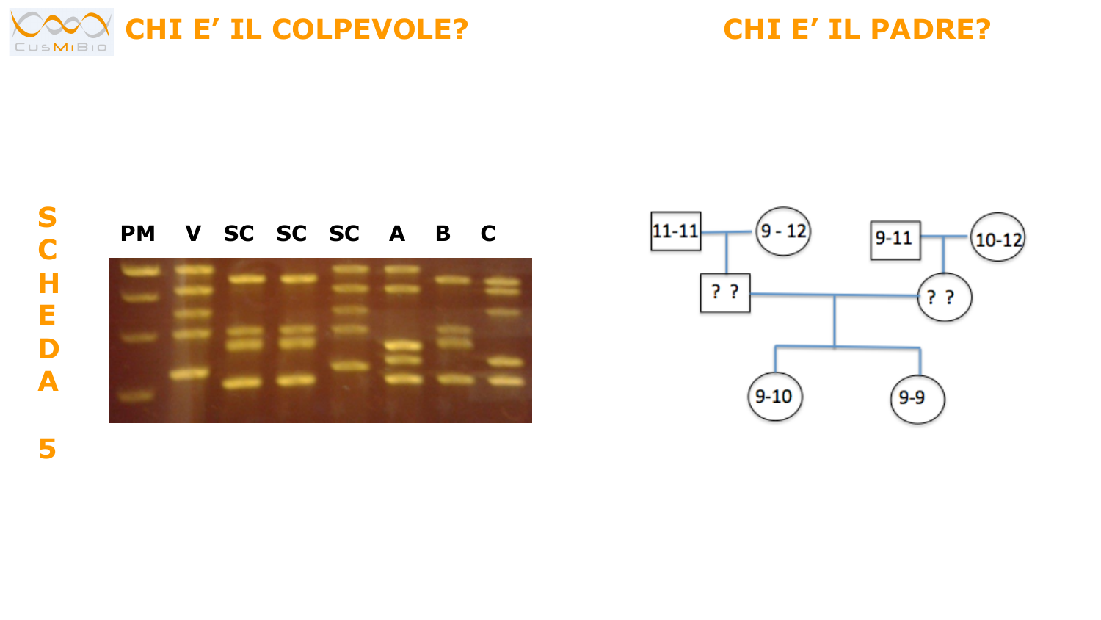



### **PM V SC SC SC A B C**



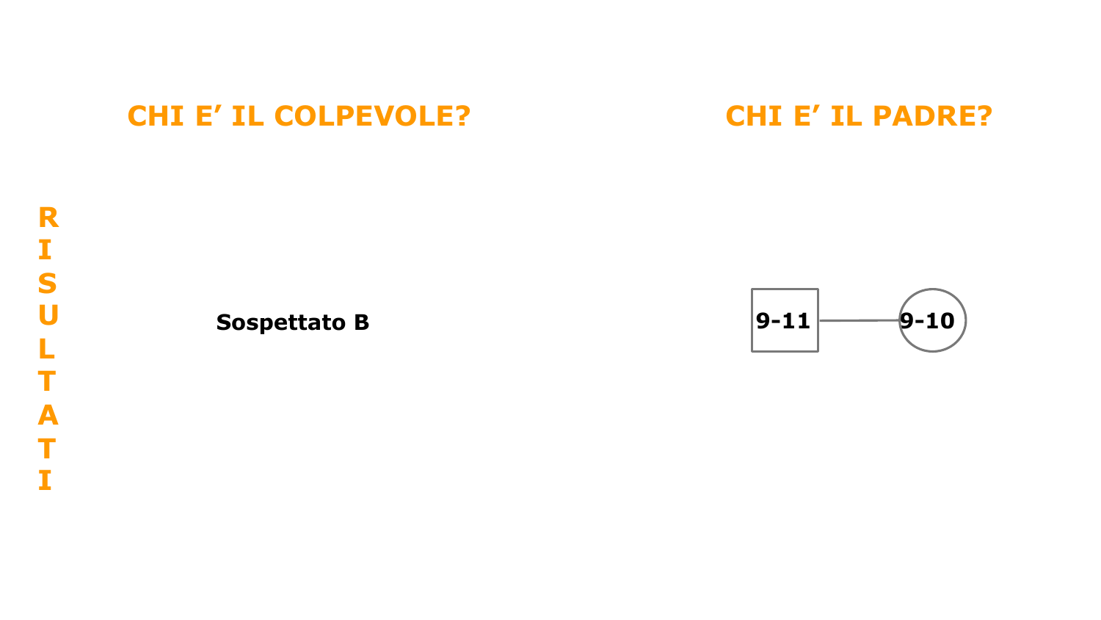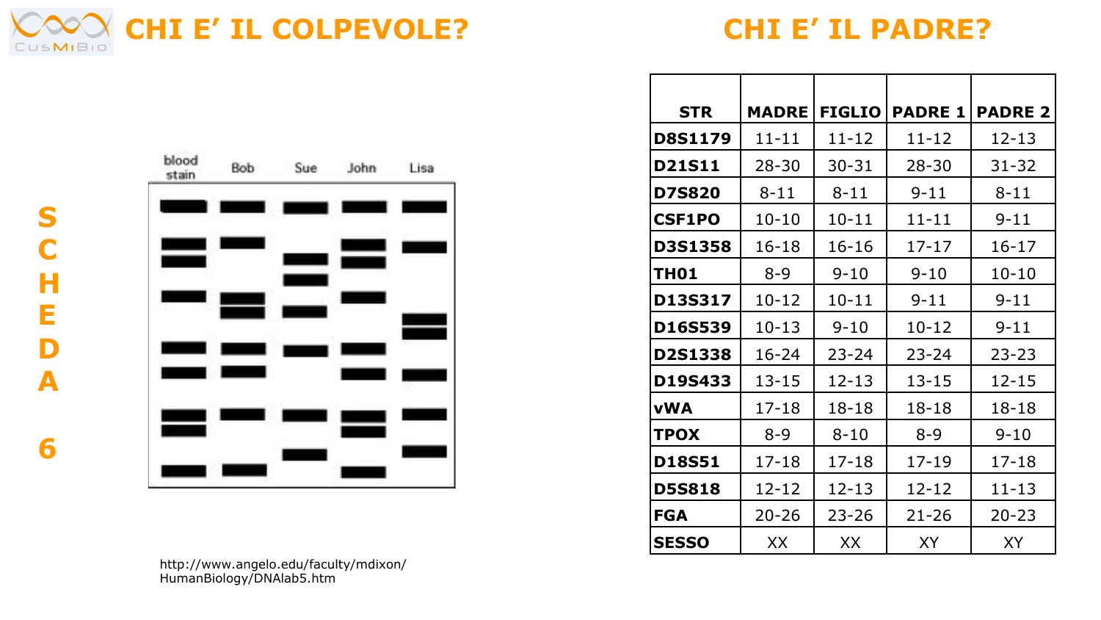



| <b>STR</b>    | <b>MADRE</b> | <b>FIGLIO</b> | <b>PADRE 1</b> | <b>PADRE 2</b> |
|---------------|--------------|---------------|----------------|----------------|
| D8S1179       | $11 - 11$    | 11-12         | 11-12          | $12 - 13$      |
| <b>D21S11</b> | $28 - 30$    | $30 - 31$     | $28 - 30$      | $31 - 32$      |
| D7S820        | $8 - 11$     | $8 - 11$      | $9 - 11$       | 8-11           |
| <b>CSF1PO</b> | $10 - 10$    | $10 - 11$     | $11 - 11$      | $9 - 11$       |
| D3S1358       | $16 - 18$    | $16 - 16$     | $17 - 17$      | $16 - 17$      |
| <b>THO1</b>   | $8 - 9$      | 9-10          | $9 - 10$       | $10 - 10$      |
| D13S317       | 10-12        | $10 - 11$     | $9 - 11$       | $9 - 11$       |
| D16S539       | $10 - 13$    | $9 - 10$      | $10 - 12$      | $9 - 11$       |
| D2S1338       | $16 - 24$    | $23 - 24$     | 23-24          | $23 - 23$      |
| D19S433       | $13 - 15$    | $12 - 13$     | 13-15          | 12-15          |
| vWA           | $17 - 18$    | $18 - 18$     | $18 - 18$      | $18 - 18$      |
| <b>TPOX</b>   | $8 - 9$      | $8 - 10$      | $8 - 9$        | $9 - 10$       |
| <b>D18S51</b> | $17 - 18$    | $17 - 18$     | $17 - 19$      | $17 - 18$      |
| <b>D5S818</b> | 12-12        | $12 - 13$     | 12-12          | $11 - 13$      |
| FGA           | $20 - 26$    | $23 - 26$     | $21 - 26$      | $20 - 23$      |
| SESSO         | XX           | XX            | XY             | XY             |



**S C**

**H**

**E**

**D**

**A**

**6**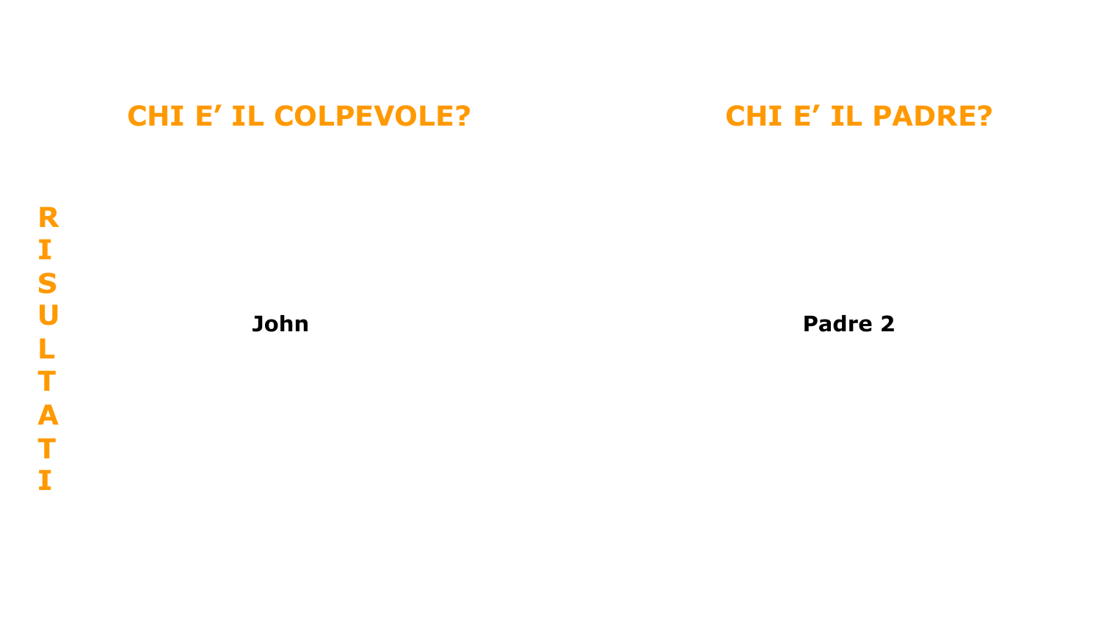

**John Padre 2**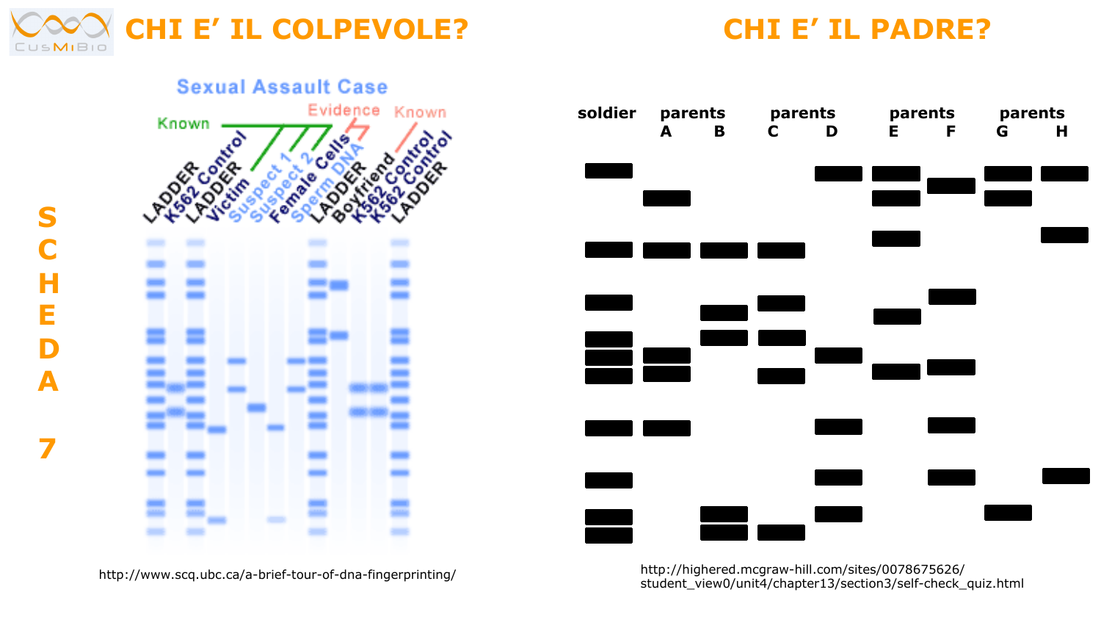





http://highered.mcgraw-hill.com/sites/0078675626/ student\_view0/unit4/chapter13/section3/self-check\_quiz.html

http://www.scq.ubc.ca/a-brief-tour-of-dna-fingerprinting/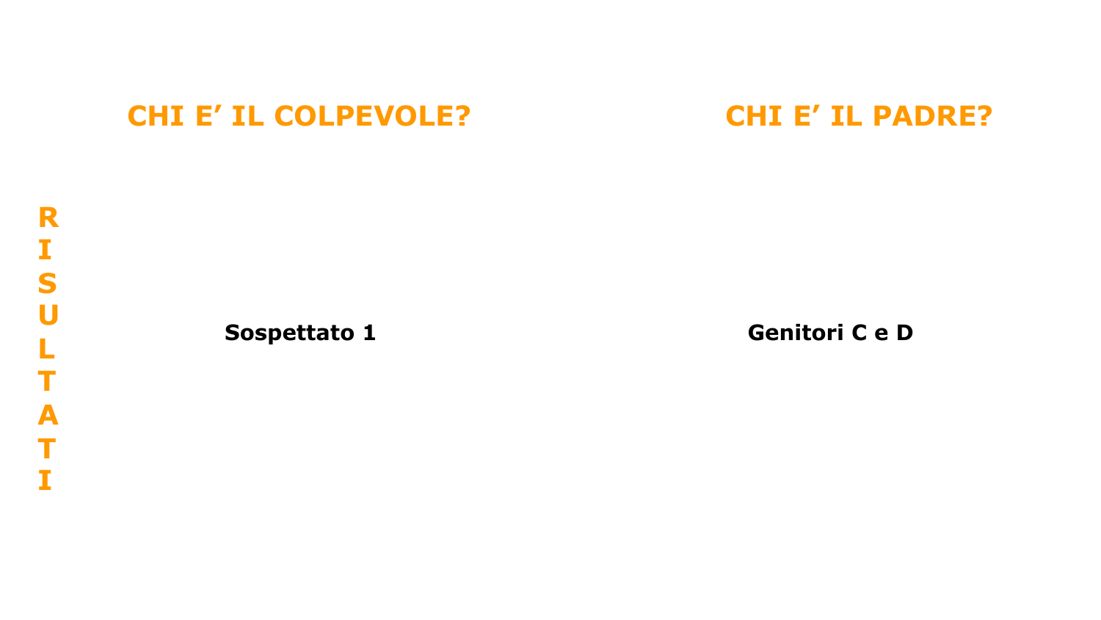**Sospettato 1** Genitori C e D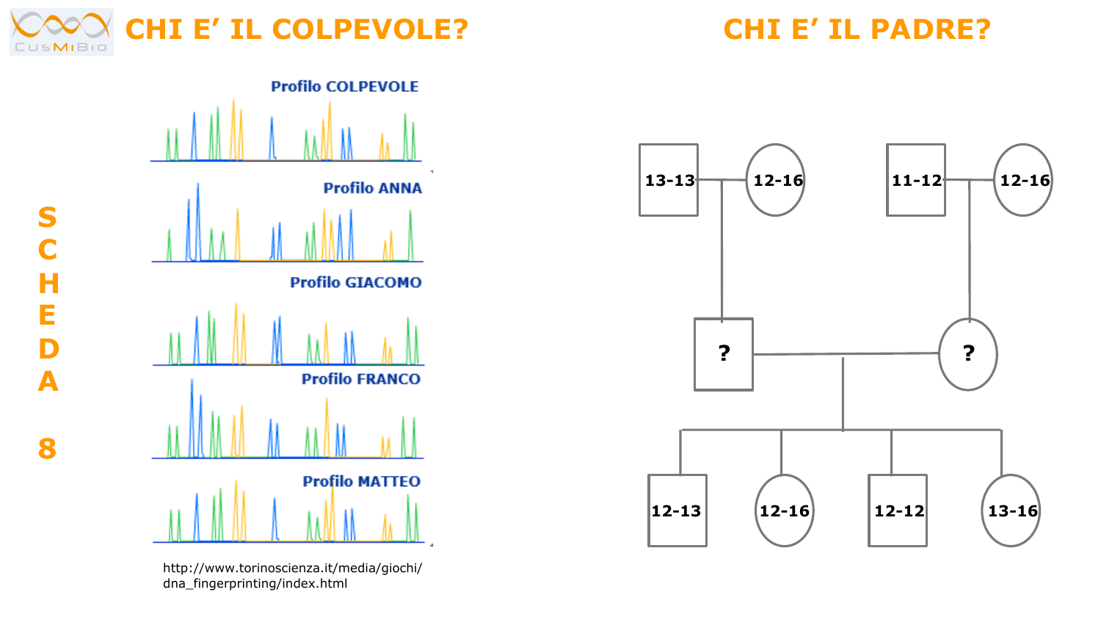



http://www.torinoscienza.it/media/giochi/ dna\_fingerprinting/index.html



**S C H E D A 8**